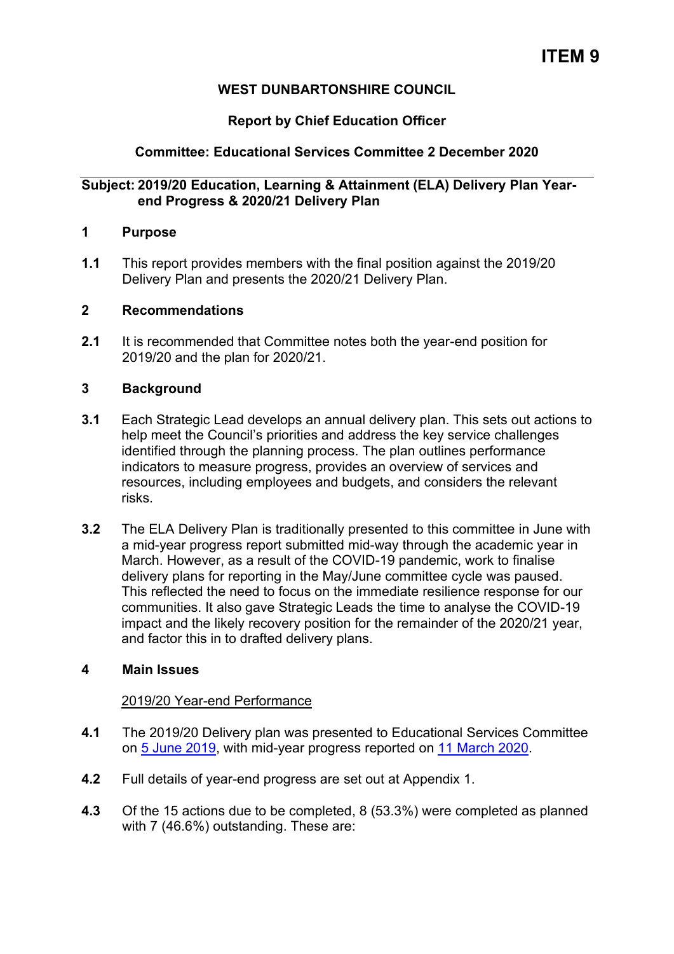# **WEST DUNBARTONSHIRE COUNCIL**

# **Report by Chief Education Officer**

# **Committee: Educational Services Committee 2 December 2020**

# **Subject: 2019/20 Education, Learning & Attainment (ELA) Delivery Plan Yearend Progress & 2020/21 Delivery Plan**

### **1 Purpose**

**1.1** This report provides members with the final position against the 2019/20 Delivery Plan and presents the 2020/21 Delivery Plan.

### **2 Recommendations**

**2.1** It is recommended that Committee notes both the year-end position for 2019/20 and the plan for 2020/21.

# **3 Background**

- **3.1** Each Strategic Lead develops an annual delivery plan. This sets out actions to help meet the Council's priorities and address the key service challenges identified through the planning process. The plan outlines performance indicators to measure progress, provides an overview of services and resources, including employees and budgets, and considers the relevant risks.
- **3.2** The ELA Delivery Plan is traditionally presented to this committee in June with a mid-year progress report submitted mid-way through the academic year in March. However, as a result of the COVID-19 pandemic, work to finalise delivery plans for reporting in the May/June committee cycle was paused. This reflected the need to focus on the immediate resilience response for our communities. It also gave Strategic Leads the time to analyse the COVID-19 impact and the likely recovery position for the remainder of the 2020/21 year, and factor this in to drafted delivery plans.

# **4 Main Issues**

#### 2019/20 Year-end Performance

- **4.1** The 2019/20 Delivery plan was presented to Educational Services Committee on [5 June 2019,](https://wdccmis.west-dunbarton.gov.uk/CMIS5/Document.ashx?czJKcaeAi5tUFL1DTL2UE4zNRBcoShgo=ps8BOKK1W73yKIbne6SKlzvOuThODb8plrvXmMhKWqh%2fphEt%2fz17EQ%3d%3d&rUzwRPf%2bZ3zd4E7Ikn8Lyw%3d%3d=pwRE6AGJFLDNlh225F5QMaQWCtPHwdhUfCZ%2fLUQzgA2uL5jNRG4jdQ%3d%3d&mCTIbCubSFfXsDGW9IXnlg%3d%3d=hFflUdN3100%3d&kCx1AnS9%2fpWZQ40DXFvdEw%3d%3d=hFflUdN3100%3d&uJovDxwdjMPoYv%2bAJvYtyA%3d%3d=ctNJFf55vVA%3d&FgPlIEJYlotS%2bYGoBi5olA%3d%3d=NHdURQburHA%3d&d9Qjj0ag1Pd993jsyOJqFvmyB7X0CSQK=ctNJFf55vVA%3d&WGewmoAfeNR9xqBux0r1Q8Za60lavYmz=ctNJFf55vVA%3d&WGewmoAfeNQ16B2MHuCpMRKZMwaG1PaO=ctNJFf55vVA%3d) with mid-year progress reported on [11 March 2020.](https://wdccmis.west-dunbarton.gov.uk/CMIS5/Document.ashx?czJKcaeAi5tUFL1DTL2UE4zNRBcoShgo=cjqEeVF16qvGkjxQBpXRGwfQSb60bTyQtETpYSRY9F6aW91fXpVU7w%3d%3d&rUzwRPf%2bZ3zd4E7Ikn8Lyw%3d%3d=pwRE6AGJFLDNlh225F5QMaQWCtPHwdhUfCZ%2fLUQzgA2uL5jNRG4jdQ%3d%3d&mCTIbCubSFfXsDGW9IXnlg%3d%3d=hFflUdN3100%3d&kCx1AnS9%2fpWZQ40DXFvdEw%3d%3d=hFflUdN3100%3d&uJovDxwdjMPoYv%2bAJvYtyA%3d%3d=ctNJFf55vVA%3d&FgPlIEJYlotS%2bYGoBi5olA%3d%3d=NHdURQburHA%3d&d9Qjj0ag1Pd993jsyOJqFvmyB7X0CSQK=ctNJFf55vVA%3d&WGewmoAfeNR9xqBux0r1Q8Za60lavYmz=ctNJFf55vVA%3d&WGewmoAfeNQ16B2MHuCpMRKZMwaG1PaO=ctNJFf55vVA%3d)
- **4.2** Full details of year-end progress are set out at Appendix 1.
- **4.3** Of the 15 actions due to be completed, 8 (53.3%) were completed as planned with 7 (46.6%) outstanding. These are: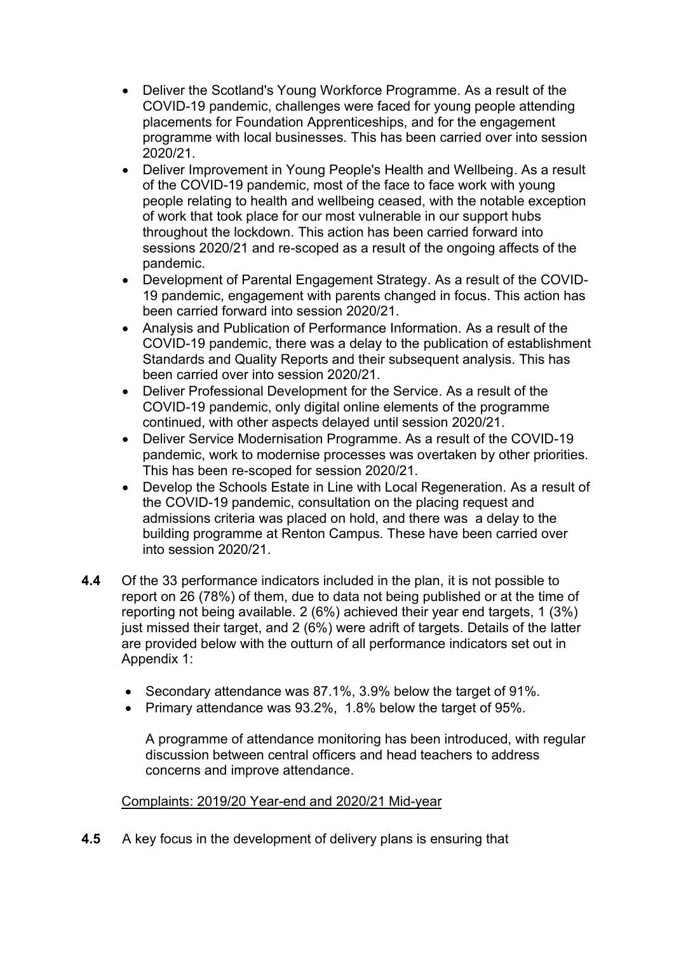- Deliver the Scotland's Young Workforce Programme. As a result of the COVID-19 pandemic, challenges were faced for young people attending placements for Foundation Apprenticeships, and for the engagement programme with local businesses. This has been carried over into session 2020/21.
- Deliver Improvement in Young People's Health and Wellbeing. As a result of the COVID-19 pandemic, most of the face to face work with young people relating to health and wellbeing ceased, with the notable exception of work that took place for our most vulnerable in our support hubs throughout the lockdown. This action has been carried forward into sessions 2020/21 and re-scoped as a result of the ongoing affects of the pandemic.
- Development of Parental Engagement Strategy. As a result of the COVID-19 pandemic, engagement with parents changed in focus. This action has been carried forward into session 2020/21.
- Analysis and Publication of Performance Information. As a result of the COVID-19 pandemic, there was a delay to the publication of establishment Standards and Quality Reports and their subsequent analysis. This has been carried over into session 2020/21.
- Deliver Professional Development for the Service. As a result of the COVID-19 pandemic, only digital online elements of the programme continued, with other aspects delayed until session 2020/21.
- Deliver Service Modernisation Programme. As a result of the COVID-19 pandemic, work to modernise processes was overtaken by other priorities. This has been re-scoped for session 2020/21.
- Develop the Schools Estate in Line with Local Regeneration. As a result of the COVID-19 pandemic, consultation on the placing request and admissions criteria was placed on hold, and there was a delay to the building programme at Renton Campus. These have been carried over into session 2020/21.
- **4.4** Of the 33 performance indicators included in the plan, it is not possible to report on 26 (78%) of them, due to data not being published or at the time of reporting not being available. 2 (6%) achieved their year end targets, 1 (3%) just missed their target, and 2 (6%) were adrift of targets. Details of the latter are provided below with the outturn of all performance indicators set out in Appendix 1:
	- Secondary attendance was 87.1%, 3.9% below the target of 91%.
	- Primary attendance was 93.2%, 1.8% below the target of 95%.

A programme of attendance monitoring has been introduced, with regular discussion between central officers and head teachers to address concerns and improve attendance.

# Complaints: 2019/20 Year-end and 2020/21 Mid-year

**4.5** A key focus in the development of delivery plans is ensuring that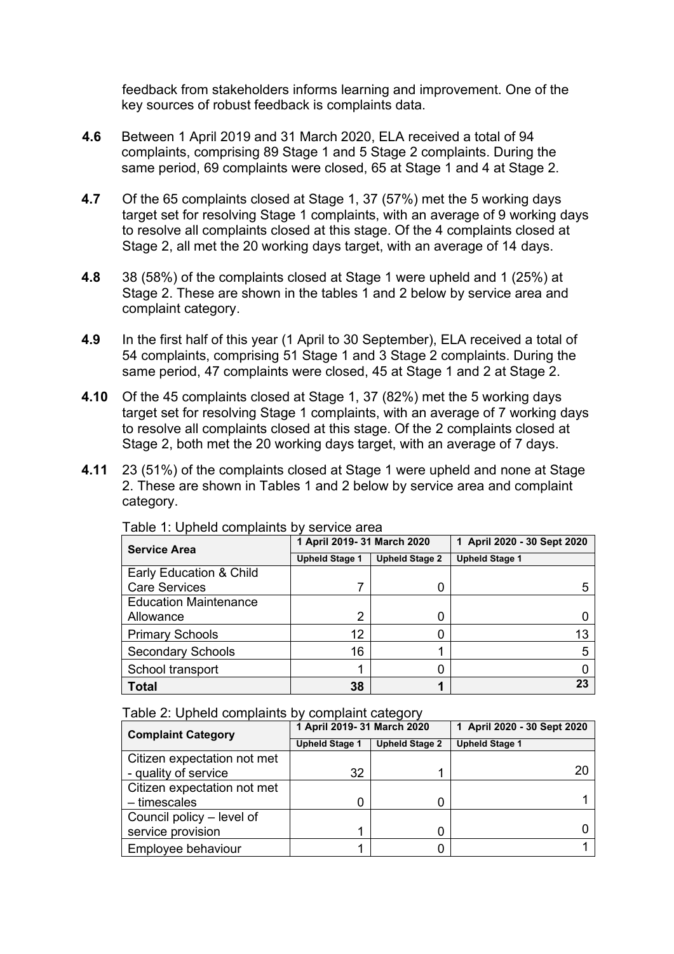feedback from stakeholders informs learning and improvement. One of the key sources of robust feedback is complaints data.

- **4.6** Between 1 April 2019 and 31 March 2020, ELA received a total of 94 complaints, comprising 89 Stage 1 and 5 Stage 2 complaints. During the same period, 69 complaints were closed, 65 at Stage 1 and 4 at Stage 2.
- **4.7** Of the 65 complaints closed at Stage 1, 37 (57%) met the 5 working days target set for resolving Stage 1 complaints, with an average of 9 working days to resolve all complaints closed at this stage. Of the 4 complaints closed at Stage 2, all met the 20 working days target, with an average of 14 days.
- **4.8** 38 (58%) of the complaints closed at Stage 1 were upheld and 1 (25%) at Stage 2. These are shown in the tables 1 and 2 below by service area and complaint category.
- **4.9** In the first half of this year (1 April to 30 September), ELA received a total of 54 complaints, comprising 51 Stage 1 and 3 Stage 2 complaints. During the same period, 47 complaints were closed, 45 at Stage 1 and 2 at Stage 2.
- **4.10** Of the 45 complaints closed at Stage 1, 37 (82%) met the 5 working days target set for resolving Stage 1 complaints, with an average of 7 working days to resolve all complaints closed at this stage. Of the 2 complaints closed at Stage 2, both met the 20 working days target, with an average of 7 days.
- **4.11** 23 (51%) of the complaints closed at Stage 1 were upheld and none at Stage 2. These are shown in Tables 1 and 2 below by service area and complaint category.

| <b>Service Area</b>          | 1 April 2019- 31 March 2020 |                       | 1 April 2020 - 30 Sept 2020 |
|------------------------------|-----------------------------|-----------------------|-----------------------------|
|                              | <b>Upheld Stage 1</b>       | <b>Upheld Stage 2</b> | <b>Upheld Stage 1</b>       |
| Early Education & Child      |                             |                       |                             |
| <b>Care Services</b>         |                             | 0                     |                             |
| <b>Education Maintenance</b> |                             |                       |                             |
| Allowance                    | ◠                           | 0                     |                             |
| <b>Primary Schools</b>       | 12                          | 0                     | 13                          |
| <b>Secondary Schools</b>     | 16                          |                       |                             |
| School transport             |                             | 0                     |                             |
| <b>Total</b>                 | 38                          |                       | 23                          |

Table 1: Upheld complaints by service area

Table 2: Upheld complaints by complaint category

| <b>Complaint Category</b>   | 1 April 2019- 31 March 2020 |                       | 1 April 2020 - 30 Sept 2020 |
|-----------------------------|-----------------------------|-----------------------|-----------------------------|
|                             | <b>Upheld Stage 1</b>       | <b>Upheld Stage 2</b> | <b>Upheld Stage 1</b>       |
| Citizen expectation not met |                             |                       |                             |
| - quality of service        | 32                          |                       | 20                          |
| Citizen expectation not met |                             |                       |                             |
| - timescales                |                             | 0                     |                             |
| Council policy – level of   |                             |                       |                             |
| service provision           |                             |                       |                             |
| Employee behaviour          |                             |                       |                             |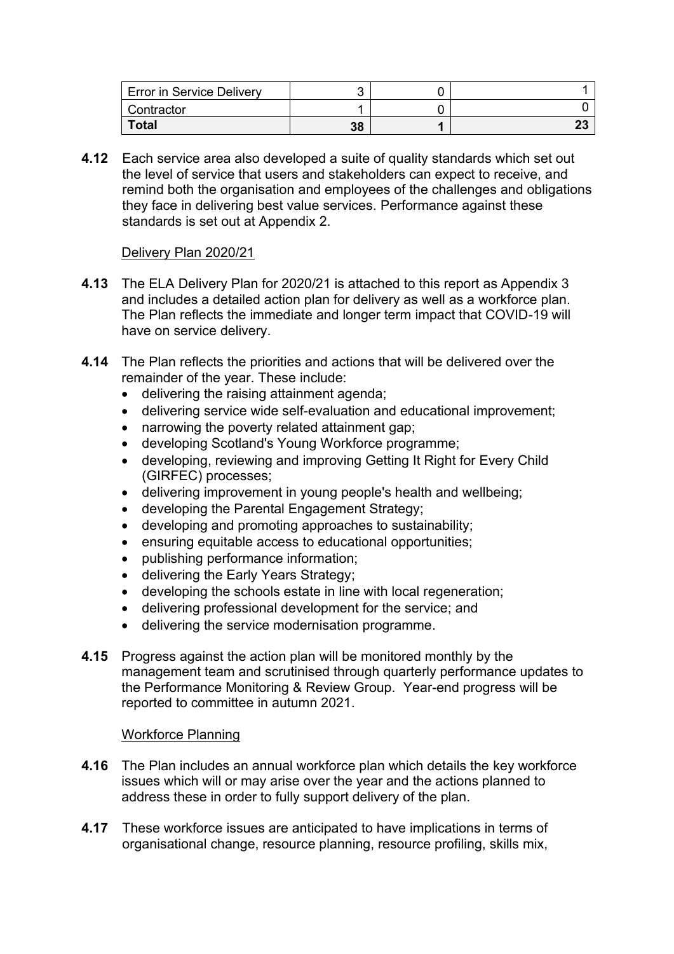| <b>Error in Service Delivery</b> |    |          |
|----------------------------------|----|----------|
| Contractor                       |    |          |
| <b>Total</b>                     | 38 | nn<br>ΖJ |

**4.12** Each service area also developed a suite of quality standards which set out the level of service that users and stakeholders can expect to receive, and remind both the organisation and employees of the challenges and obligations they face in delivering best value services. Performance against these standards is set out at Appendix 2.

# Delivery Plan 2020/21

- **4.13** The ELA Delivery Plan for 2020/21 is attached to this report as Appendix 3 and includes a detailed action plan for delivery as well as a workforce plan. The Plan reflects the immediate and longer term impact that COVID-19 will have on service delivery.
- **4.14** The Plan reflects the priorities and actions that will be delivered over the remainder of the year. These include:
	- delivering the raising attainment agenda;
	- delivering service wide self-evaluation and educational improvement;
	- narrowing the poverty related attainment gap;
	- developing Scotland's Young Workforce programme;
	- developing, reviewing and improving Getting It Right for Every Child (GIRFEC) processes;
	- delivering improvement in young people's health and wellbeing;
	- developing the Parental Engagement Strategy;
	- developing and promoting approaches to sustainability;
	- ensuring equitable access to educational opportunities;
	- publishing performance information;
	- delivering the Early Years Strategy;
	- developing the schools estate in line with local regeneration;
	- delivering professional development for the service; and
	- delivering the service modernisation programme.
- **4.15** Progress against the action plan will be monitored monthly by the management team and scrutinised through quarterly performance updates to the Performance Monitoring & Review Group. Year-end progress will be reported to committee in autumn 2021.

# Workforce Planning

- **4.16** The Plan includes an annual workforce plan which details the key workforce issues which will or may arise over the year and the actions planned to address these in order to fully support delivery of the plan.
- **4.17** These workforce issues are anticipated to have implications in terms of organisational change, resource planning, resource profiling, skills mix,